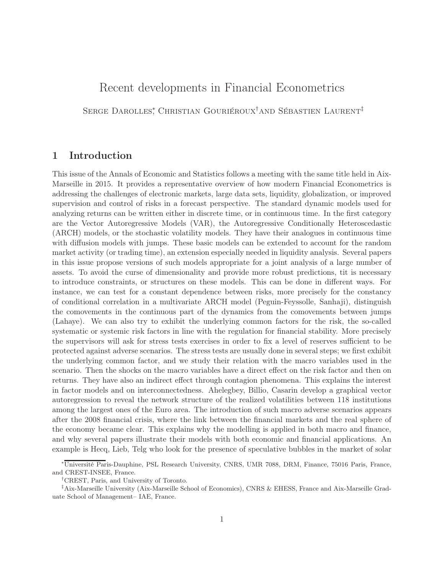## Recent developments in Financial Econometrics

Serge Darolles<sup>∗</sup> , Christian Gouriéroux† and Sébastien Laurent‡

## 1 Introduction

This issue of the Annals of Economic and Statistics follows a meeting with the same title held in Aix-Marseille in 2015. It provides a representative overview of how modern Financial Econometrics is addressing the challenges of electronic markets, large data sets, liquidity, globalization, or improved supervision and control of risks in a forecast perspective. The standard dynamic models used for analyzing returns can be written either in discrete time, or in continuous time. In the first category are the Vector Autoregressive Models (VAR), the Autoregressive Conditionally Heteroscedastic (ARCH) models, or the stochastic volatility models. They have their analogues in continuous time with diffusion models with jumps. These basic models can be extended to account for the random market activity (or trading time), an extension especially needed in liquidity analysis. Several papers in this issue propose versions of such models appropriate for a joint analysis of a large number of assets. To avoid the curse of dimensionality and provide more robust predictions, tit is necessary to introduce constraints, or structures on these models. This can be done in different ways. For instance, we can test for a constant dependence between risks, more precisely for the constancy of conditional correlation in a multivariate ARCH model (Peguin-Feyssolle, Sanhaji), distinguish the comovements in the continuous part of the dynamics from the comovements between jumps (Lahaye). We can also try to exhibit the underlying common factors for the risk, the so-called systematic or systemic risk factors in line with the regulation for financial stability. More precisely the supervisors will ask for stress tests exercises in order to fix a level of reserves sufficient to be protected against adverse scenarios. The stress tests are usually done in several steps; we first exhibit the underlying common factor, and we study their relation with the macro variables used in the scenario. Then the shocks on the macro variables have a direct effect on the risk factor and then on returns. They have also an indirect effect through contagion phenomena. This explains the interest in factor models and on interconnectedness. Ahelegbey, Billio, Casarin develop a graphical vector autoregression to reveal the network structure of the realized volatilities between 118 institutions among the largest ones of the Euro area. The introduction of such macro adverse scenarios appears after the 2008 financial crisis, where the link between the financial markets and the real sphere of the economy became clear. This explains why the modelling is applied in both macro and finance, and why several papers illustrate their models with both economic and financial applications. An example is Hecq, Lieb, Telg who look for the presence of speculative bubbles in the market of solar

<sup>∗</sup>Université Paris-Dauphine, PSL Research University, CNRS, UMR 7088, DRM, Finance, 75016 Paris, France, and CREST-INSEE, France.

<sup>†</sup> CREST, Paris, and University of Toronto.

<sup>‡</sup> Aix-Marseille University (Aix-Marseille School of Economics), CNRS & EHESS, France and Aix-Marseille Graduate School of Management– IAE, France.